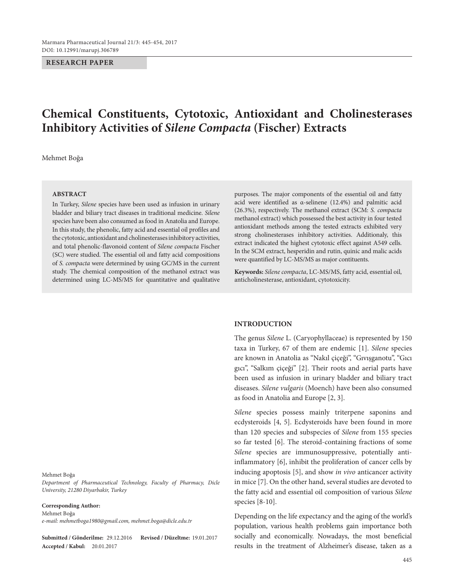### **RESEARCH PAPER**

# **Chemical Constituents, Cytotoxic, Antioxidant and Cholinesterases Inhibitory Activities of** *Silene Compacta* **(Fischer) Extracts**

Mehmet Boğa

#### **ABSTRACT**

In Turkey, *Silene* species have been used as infusion in urinary bladder and biliary tract diseases in traditional medicine. *Silene* species have been also consumed as food in Anatolia and Europe. In this study, the phenolic, fatty acid and essential oil profiles and the cytotoxic, antioxidant and cholinesterases inhibitory activities, and total phenolic-flavonoid content of *Silene compacta* Fischer (SC) were studied. The essential oil and fatty acid compositions of *S. compacta* were determined by using GC/MS in the current study. The chemical composition of the methanol extract was determined using LC-MS/MS for quantitative and qualitative purposes. The major components of the essential oil and fatty acid were identified as α-selinene (12.4%) and palmitic acid (26.3%), respectively. The methanol extract (SCM: *S. compacta* methanol extract) which possessed the best activity in four tested antioxidant methods among the tested extracts exhibited very strong cholinesterases inhibitory activities. Additionaly, this extract indicated the highest cytotoxic effect against A549 cells. In the SCM extract, hesperidin and rutin, quinic and malic acids were quantified by LC-MS/MS as major contituents.

**Keywords:** *Silene compacta*, LC-MS/MS, fatty acid, essential oil, anticholinesterase, antioxidant, cytotoxicity.

#### **INTRODUCTION**

The genus *Silene* L. (Caryophyllaceae) is represented by 150 taxa in Turkey, 67 of them are endemic [1]. *Silene* species are known in Anatolia as "Nakıl çiçeği", "Gıvışganotu", "Gıcı gıcı", "Salkım çiçeği" [2]. Their roots and aerial parts have been used as infusion in urinary bladder and biliary tract diseases. *Silene vulgaris* (Moench) have been also consumed as food in Anatolia and Europe [2, 3].

*Silene* species possess mainly triterpene saponins and ecdysteroids [4, 5]. Ecdysteroids have been found in more than 120 species and subspecies of *Silene* from 155 species so far tested [6]. The steroid-containing fractions of some *Silene* species are immunosuppressive, potentially antiinflammatory [6], inhibit the proliferation of cancer cells by inducing apoptosis [5], and show *in vivo* anticancer activity in mice [7]. On the other hand, several studies are devoted to the fatty acid and essential oil composition of various *Silene* species [8-10].

Depending on the life expectancy and the aging of the world's population, various health problems gain importance both socially and economically. Nowadays, the most beneficial results in the treatment of Alzheimer's disease, taken as a

#### Mehmet Boğa

*Department of Pharmaceutical Technology, Faculty of Pharmacy, Dicle University, 21280 Diyarbakir, Turkey*

#### **Corresponding Author:**

Mehmet Boğa *e-mail: mehmetboga1980@gmail.com, [mehmet.boga@dicle.edu.tr](mailto:mehmet.boga@dicle.edu.tr)*

**Submitted / Gönderilme:** 29.12.2016 **Revised / Düzeltme:** 19.01.2017 **Accepted / Kabul:** 20.01.2017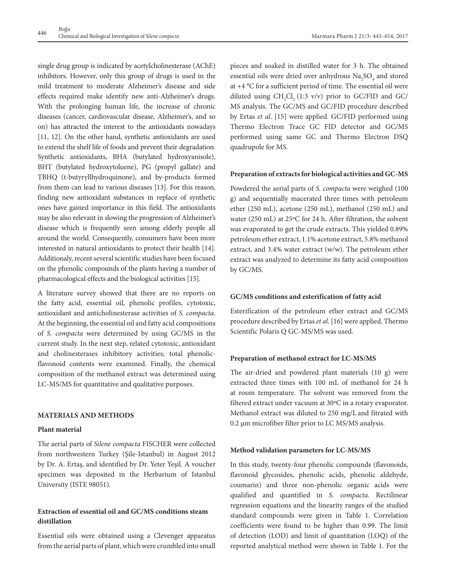single drug group is indicated by acetylcholinesterase (AChE) inhibitors. However, only this group of drugs is used in the mild treatment to moderate Alzheimer's disease and side effects required make identify new anti-Alzheimer's drugs. With the prolonging human life, the increase of chronic diseases (cancer, cardiovascular disease, Alzheimer's, and so on) has attracted the interest to the antioxidants nowadays [11, 12]. On the other hand, synthetic antioxidants are used to extend the shelf life of foods and prevent their degradation. Synthetic antioxidants, BHA (butylated hydroxyanisole), BHT (butylated hydroxytoluene), PG (propyl gallate) and TBHQ (t-butyryllhydroquinone), and by-products formed from them can lead to various diseases [13]. For this reason, finding new antioxidant substances in replace of synthetic ones have gained importance in this field. The antioxidants may be also relevant in slowing the progression of Alzheimer's disease which is frequently seen among elderly people all around the world. Consequently, consumers have been more interested in natural antioxidants to protect their health [14]. Additionaly, recent several scientific studies have been focused on the phenolic compounds of the plants having a number of pharmacological effects and the biological activities [15].

A literature survey showed that there are no reports on the fatty acid, essential oil, phenolic profiles, cytotoxic, antioxidant and anticholinesterase activities of *S. compacta*. At the beginning, the essential oil and fatty acid compositions of *S. compacta* were determined by using GC/MS in the current study. In the next step, related cytotoxic, antioxidant and cholinesterases inhibitory activities; total phenolicflavonoid contents were examined. Finally, the chemical composition of the methanol extract was determined using LC-MS/MS for quantitative and qualitative purposes.

# **MATERIALS AND METHODS**

#### **Plant material**

The aerial parts of *Silene compacta* FISCHER were collected from northwestern Turkey (Şile-Istanbul) in August 2012 by Dr. A. Ertaş, and identified by Dr. Yeter Yeşil. A voucher specimen was deposited in the Herbarium of Istanbul University (ISTE 98051).

# **Extraction of essential oil and GC/MS conditions steam distillation**

Essential oils were obtained using a Clevenger apparatus from the aerial parts of plant, which were crumbled into small pieces and soaked in distilled water for 3 h. The obtained essential oils were dried over anhydrous  $\mathrm{Na}_2\mathrm{SO}_4$  and stored at +4 °C for a sufficient period of time. The essential oil were diluted using  $CH_2Cl_2(1:3 \text{ v/v})$  prior to GC/FID and GC/ MS analysis. The GC/MS and GC/FID procedure described by Ertas *et al*. [15] were applied. GC/FID performed using Thermo Electron Trace GC FID detector and GC/MS performed using same GC and Thermo Electron DSQ quadrupole for MS.

## **Preparation of extracts for biological activities and GC-MS**

Powdered the aerial parts of *S. compacta* were weighed (100 g) and sequentially macerated three times with petroleum ether (250 mL), acetone (250 mL), methanol (250 mL) and water (250 mL) at 25ºC for 24 h. After filtration, the solvent was evaporated to get the crude extracts. This yielded 0.89% petroleum ether extract, 1.1% acetone extract, 5.8% methanol extract, and 3.4% water extract (w/w). The petroleum ether extract was analyzed to determine its fatty acid composition by GC/MS.

# **GC/MS conditions and esterification of fatty acid**

Esterification of the petroleum ether extract and GC/MS procedure described by Ertas *et al*. [16] were applied. Thermo Scientific Polaris Q GC-MS/MS was used.

# **Preparation of methanol extract for LC-MS/MS**

The air-dried and powdered plant materials (10 g) were extracted three times with 100 mL of methanol for 24 h at room temperature. The solvent was removed from the filtered extract under vacuum at 30ºC in a rotary evaporator. Methanol extract was diluted to 250 mg/L and fitrated with 0.2 μm microfiber filter prior to LC MS/MS analysis.

#### **Method validation parameters for LC-MS/MS**

In this study, twenty-four phenolic compounds (flavonoids, flavonoid glycosides, phenolic acids, phenolic aldehyde, coumarin) and three non-phenolic organic acids were qualified and quantified in *S. compacta*. Rectilinear regression equations and the linearity ranges of the studied standard compounds were given in Table 1. Correlation coefficients were found to be higher than 0.99. The limit of detection (LOD) and limit of quantitation (LOQ) of the reported analytical method were shown in Table 1. For the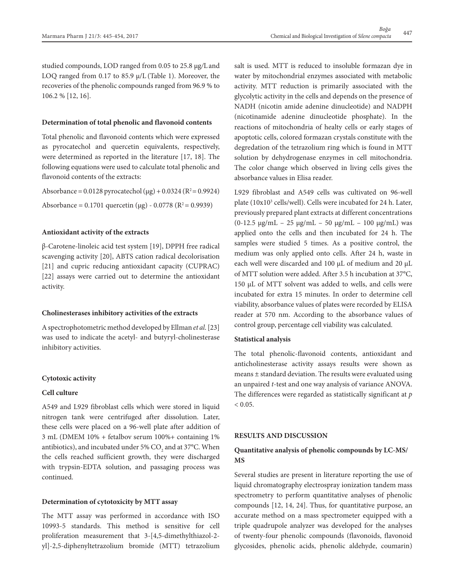studied compounds, LOD ranged from 0.05 to 25.8 µg*/*L and LOQ ranged from 0.17 to 85.9  $\mu$ /L (Table 1). Moreover, the recoveries of the phenolic compounds ranged from 96.9 % to 106.2 % [12, 16].

#### **Determination of total phenolic and flavonoid contents**

Total phenolic and flavonoid contents which were expressed as pyrocatechol and quercetin equivalents, respectively, were determined as reported in the literature [17, 18]. The following equations were used to calculate total phenolic and flavonoid contents of the extracts:

Absorbance = 0.0128 pyrocatechol (μg) + 0.0324 ( $R^2$  = 0.9924) Absorbance = 0.1701 quercetin (μg) - 0.0778 ( $R^2$  = 0.9939)

# **Antioxidant activity of the extracts**

β-Carotene-linoleic acid test system [19], DPPH free radical scavenging activity [20], ABTS cation radical decolorisation [21] and cupric reducing antioxidant capacity (CUPRAC) [22] assays were carried out to determine the antioxidant activity.

#### **Cholinesterases inhibitory activities of the extracts**

A spectrophotometric method developed by Ellman *et al*. [23] was used to indicate the acetyl- and butyryl-cholinesterase inhibitory activities.

#### **Cytotoxic activity**

# **Cell culture**

A549 and L929 fibroblast cells which were stored in liquid nitrogen tank were centrifuged after dissolution. Later, these cells were placed on a 96-well plate after addition of 3 mL (DMEM 10% + fetalbov serum 100%+ containing 1% antibiotics), and incubated under 5%  $\mathrm{CO}_\mathrm{2}$  and at 37°C. When the cells reached sufficient growth, they were discharged with trypsin-EDTA solution, and passaging process was continued.

# **Determination of cytotoxicity by MTT assay**

The MTT assay was performed in accordance with ISO 10993-5 standards. This method is sensitive for cell proliferation measurement that 3-[4,5-dimethylthiazol-2 yl]-2,5-diphenyltetrazolium bromide (MTT) tetrazolium salt is used. MTT is reduced to insoluble formazan dye in water by mitochondrial enzymes associated with metabolic activity. MTT reduction is primarily associated with the glycolytic activity in the cells and depends on the presence of NADH (nicotin amide adenine dinucleotide) and NADPH (nicotinamide adenine dinucleotide phosphate). In the reactions of mitochondria of healty cells or early stages of apoptotic cells, colored formazan crystals constitute with the degredation of the tetrazolium ring which is found in MTT solution by dehydrogenase enzymes in cell mitochondria. The color change which observed in living cells gives the absorbance values in Elisa reader.

L929 fibroblast and A549 cells was cultivated on 96-well plate (10x10<sup>3</sup> cells/well). Cells were incubated for 24 h. Later, previously prepared plant extracts at different concentrations (0-12.5 μg/mL – 25 μg/mL – 50 μg/mL – 100 μg/mL) was applied onto the cells and then incubated for 24 h. The samples were studied 5 times. As a positive control, the medium was only applied onto cells. After 24 h, waste in each well were discarded and 100 μL of medium and 20 μL of MTT solution were added. After 3.5 h incubation at 37°C, 150 μL of MTT solvent was added to wells, and cells were incubated for extra 15 minutes. In order to determine cell viability, absorbance values of plates were recorded by ELISA reader at 570 nm. According to the absorbance values of control group, percentage cell viability was calculated.

#### **Statistical analysis**

The total phenolic-flavonoid contents, antioxidant and anticholinesterase activity assays results were shown as means ± standard deviation. The results were evaluated using an unpaired *t*-test and one way analysis of variance ANOVA. The differences were regarded as statistically significant at *p*   $< 0.05$ .

### **RESULTS AND DISCUSSION**

# **Quantitative analysis of phenolic compounds by LC-MS/ MS**

Several studies are present in literature reporting the use of liquid chromatography electrospray ionization tandem mass spectrometry to perform quantitative analyses of phenolic compounds [12, 14, 24]. Thus, for quantitative purpose, an accurate method on a mass spectrometer equipped with a triple quadrupole analyzer was developed for the analyses of twenty-four phenolic compounds (flavonoids, flavonoid glycosides, phenolic acids, phenolic aldehyde, coumarin)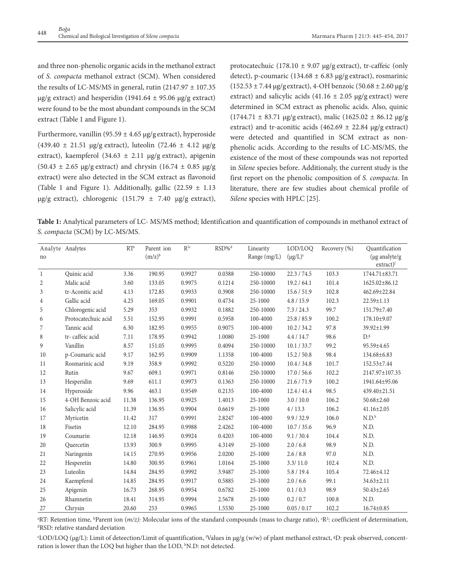and three non-phenolic organic acids in the methanol extract of *S. compacta* methanol extract (SCM). When considered the results of LC-MS/MS in general, rutin  $(2147.97 \pm 107.35$  $\mu$ g/g extract) and hesperidin (1941.64 ± 95.06  $\mu$ g/g extract) were found to be the most abundant compounds in the SCM extract (Table 1 and Figure 1).

Furthermore, vanillin (95.59  $\pm$  4.65 µg/g extract), hyperoside  $(439.40 \pm 21.51 \text{ µg/g extract})$ , luteolin  $(72.46 \pm 4.12 \text{ µg/g})$ extract), kaempferol (34.63  $\pm$  2.11 µg/g extract), apigenin  $(50.43 \pm 2.65 \text{ µg/g extract})$  and chrysin  $(16.74 \pm 0.85 \text{ µg/g})$ extract) were also detected in the SCM extract as flavonoid (Table 1 and Figure 1). Additionally, gallic (22.59  $\pm$  1.13  $\mu$ g/g extract), chlorogenic (151.79  $\pm$  7.40  $\mu$ g/g extract),

protocatechuic (178.10  $\pm$  9.07 µg/g extract), tr-caffeic (only detect), p-coumaric (134.68  $\pm$  6.83 µg/g extract), rosmarinic  $(152.53 \pm 7.44 \,\mu$ g/gextract), 4-OH benzoic  $(50.68 \pm 2.60 \,\mu$ g/g extract) and salicylic acids (41.16  $\pm$  2.05 µg/g extract) were determined in SCM extract as phenolic acids. Also, quinic  $(1744.71 \pm 83.71 \text{ µg/g extract})$ , malic  $(1625.02 \pm 86.12 \text{ µg/g})$ extract) and tr-aconitic acids (462.69  $\pm$  22.84 µg/g extract) were detected and quantified in SCM extract as nonphenolic acids. According to the results of LC-MS/MS, the existence of the most of these compounds was not reported in *Silene* species before. Additionaly, the current study is the first report on the phenolic composition of *S. compacta*. In literature, there are few studies about chemical profile of *Silene* species with HPLC [25].

**Table 1:** Analytical parameters of LC- MS/MS method; Identification and quantification of compounds in methanol extract of *S. compacta* (SCM) by LC-MS/MS.

| no             | Analyte Analytes    | $RT^a$ | Parent ion<br>$(m/z)^b$ | $R^{2c}$ | RSD% <sup>d</sup> | Linearity<br>Range (mg/L) | LOD/LOO<br>$(\mu g/L)^e$ | Recovery $(\% )$ | Quantification<br>(µg analyte/g<br>$extract)$ <sup>f</sup> |
|----------------|---------------------|--------|-------------------------|----------|-------------------|---------------------------|--------------------------|------------------|------------------------------------------------------------|
| 1              | Quinic acid         | 3.36   | 190.95                  | 0.9927   | 0.0388            | 250-10000                 | 22.3 / 74.5              | 103.3            | 1744.71±83.71                                              |
| $\overline{2}$ | Malic acid          | 3.60   | 133.05                  | 0.9975   | 0.1214            | 250-10000                 | 19.2 / 64.1              | 101.4            | 1625.02±86.12                                              |
| 3              | tr-Aconitic acid    | 4.13   | 172.85                  | 0.9933   | 0.3908            | 250-10000                 | 15.6 / 51.9              | 102.8            | 462.69±22.84                                               |
| 4              | Gallic acid         | 4.25   | 169.05                  | 0.9901   | 0.4734            | 25-1000                   | 4.8 / 15.9               | 102.3            | 22.59±1.13                                                 |
| 5              | Chlorogenic acid    | 5.29   | 353                     | 0.9932   | 0.1882            | 250-10000                 | 7.3 / 24.3               | 99.7             | 151.79±7.40                                                |
| 6              | Protocatechuic acid | 5.51   | 152.95                  | 0.9991   | 0.5958            | 100-4000                  | 25.8 / 85.9              | 100.2            | 178.10±9.07                                                |
| 7              | Tannic acid         | 6.30   | 182.95                  | 0.9955   | 0.9075            | 100-4000                  | 10.2 / 34.2              | 97.8             | 39.92±1.99                                                 |
| 8              | tr-caffeic acid     | 7.11   | 178.95                  | 0.9942   | 1.0080            | 25-1000                   | 4.4/14.7                 | 98.6             | $D.$ <sup>g</sup>                                          |
| 9              | Vanillin            | 8.57   | 151.05                  | 0.9995   | 0.4094            | 250-10000                 | 10.1 / 33.7              | 99.2             | 95.59±4.65                                                 |
| 10             | p-Coumaric acid     | 9.17   | 162.95                  | 0.9909   | 1.1358            | 100-4000                  | 15.2 / 50.8              | 98.4             | 134.68±6.83                                                |
| 11             | Rosmarinic acid     | 9.19   | 358.9                   | 0.9992   | 0.5220            | 250-10000                 | 10.4 / 34.8              | 101.7            | 152.53±7.44                                                |
| 12             | Rutin               | 9.67   | 609.1                   | 0.9971   | 0.8146            | 250-10000                 | 17.0 / 56.6              | 102.2            | 2147.97±107.35                                             |
| 13             | Hesperidin          | 9.69   | 611.1                   | 0.9973   | 0.1363            | 250-10000                 | 21.6 / 71.9              | 100.2            | 1941.64±95.06                                              |
| 14             | Hyperoside          | 9.96   | 463.1                   | 0.9549   | 0.2135            | 100-4000                  | 12.4 / 41.4              | 98.5             | 439.40±21.51                                               |
| 15             | 4-OH Benzoic acid   | 11.38  | 136.95                  | 0.9925   | 1.4013            | 25-1000                   | 3.0 / 10.0               | 106.2            | $50.68 \pm 2.60$                                           |
| 16             | Salicylic acid      | 11.39  | 136.95                  | 0.9904   | 0.6619            | 25-1000                   | 4/13.3                   | 106.2            | $41.16 \pm 2.05$                                           |
| 17             | Myricetin           | 11.42  | 317                     | 0.9991   | 2.8247            | 100-4000                  | 9.9 / 32.9               | 106.0            | $N.D.^h$                                                   |
| 18             | Fisetin             | 12.10  | 284.95                  | 0.9988   | 2.4262            | 100-4000                  | 10.7 / 35.6              | 96.9             | N.D.                                                       |
| 19             | Coumarin            | 12.18  | 146.95                  | 0.9924   | 0.4203            | 100-4000                  | 9.1 / 30.4               | 104.4            | N.D.                                                       |
| 20             | Quercetin           | 13.93  | 300.9                   | 0.9995   | 4.3149            | 25-1000                   | 2.0 / 6.8                | 98.9             | N.D.                                                       |
| 21             | Naringenin          | 14.15  | 270.95                  | 0.9956   | 2.0200            | 25-1000                   | 2.6 / 8.8                | 97.0             | N.D.                                                       |
| 22             | Hesperetin          | 14.80  | 300.95                  | 0.9961   | 1.0164            | 25-1000                   | 3.3/11.0                 | 102.4            | N.D.                                                       |
| 23             | Luteolin            | 14.84  | 284.95                  | 0.9992   | 3.9487            | 25-1000                   | 5.8 / 19.4               | 105.4            | 72.46±4.12                                                 |
| 24             | Kaempferol          | 14.85  | 284.95                  | 0.9917   | 0.5885            | 25-1000                   | 2.0 / 6.6                | 99.1             | 34.63±2.11                                                 |
| 25             | Apigenin            | 16.73  | 268.95                  | 0.9954   | 0.6782            | 25-1000                   | 0.1 / 0.3                | 98.9             | $50.43 \pm 2.65$                                           |
| 26             | Rhamnetin           | 18.41  | 314.95                  | 0.9994   | 2.5678            | 25-1000                   | 0.2 / 0.7                | 100.8            | N.D.                                                       |
| 27             | Chrysin             | 20.60  | 253                     | 0.9965   | 1.5530            | 25-1000                   | 0.05 / 0.17              | 102.2            | $16.74 \pm 0.85$                                           |

<sup>a</sup>RT: Retention time, <sup>b</sup>Parent ion (*m/z):* Molecular ions of the standard compounds (mass to charge ratio), <sup>c</sup>R<sup>2</sup>: coefficient of determination,<br><sup>d</sup>RSD: relative standard deviation RSD: relative standard deviation

*ELOD*/LOQ (µg/L): Limit of deteection/Limit of quantification, <sup>f</sup>Values in µg/g (w/w) of plant methanol extract, <sup>g</sup>D: peak observed, concentration is lower than the LOQ but higher than the LOD, <sup>h</sup>N.D: not detected.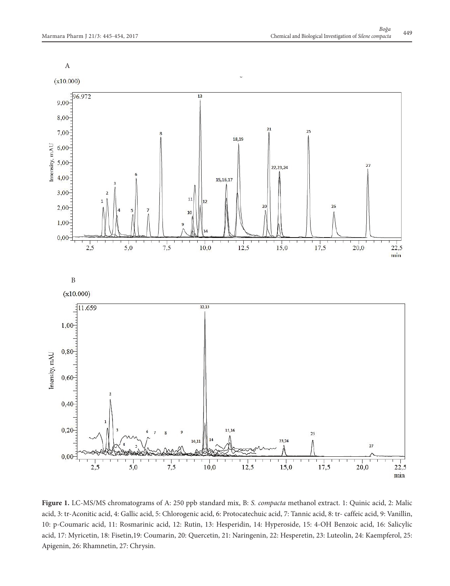

**Figure 1.** LC-MS/MS chromatograms of A: 250 ppb standard mix, B: *S. compacta* methanol extract. 1: Quinic acid, 2: Malic acid, 3: tr-Aconitic acid, 4: Gallic acid, 5: Chlorogenic acid, 6: Protocatechuic acid, 7: Tannic acid, 8: tr- caffeic acid, 9: Vanillin, 10: p-Coumaric acid, 11: Rosmarinic acid, 12: Rutin, 13: Hesperidin, 14: Hyperoside, 15: 4-OH Benzoic acid, 16: Salicylic acid, 17: Myricetin, 18: Fisetin,19: Coumarin, 20: Quercetin, 21: Naringenin, 22: Hesperetin, 23: Luteolin, 24: Kaempferol, 25: Apigenin, 26: Rhamnetin, 27: Chrysin.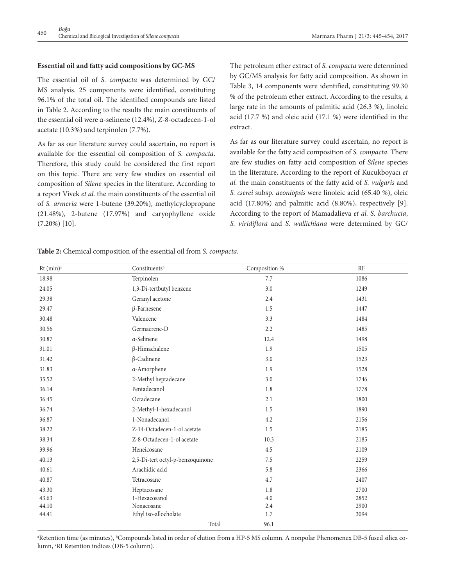# **Essential oil and fatty acid compositions by GC-MS**

The essential oil of *S. compacta* was determined by GC/ MS analysis. 25 components were identified, constituting 96.1% of the total oil. The identified compounds are listed in Table 2. According to the results the main constituents of the essential oil were α-selinene (12.4%), *Z*-8-octadecen-1-ol acetate (10.3%) and terpinolen (7.7%).

As far as our literature survey could ascertain, no report is available for the essential oil composition of *S. compacta*. Therefore, this study could be considered the first report on this topic. There are very few studies on essential oil composition of *Silene* species in the literature. According to a report Vivek *et al.* the main constituents of the essential oil of *S. armeria* were 1-butene (39.20%), methylcyclopropane (21.48%), 2-butene (17.97%) and caryophyllene oxide (7.20%) [10].

The petroleum ether extract of *S. compacta* were determined by GC/MS analysis for fatty acid composition. As shown in Table 3, 14 components were identified, consitituting 99.30 % of the petroleum ether extract. According to the results, a large rate in the amounts of palmitic acid (26.3 %), linoleic acid (17.7 %) and oleic acid (17.1 %) were identified in the extract.

As far as our literature survey could ascertain, no report is available for the fatty acid composition of *S. compacta*. There are few studies on fatty acid composition of *Silene* species in the literature. According to the report of Kucukboyacı *et al.* the main constituents of the fatty acid of *S. vulgaris* and *S. cserei* subsp*. aeoniopsis* were linoleic acid (65.40 %), oleic acid (17.80%) and palmitic acid (8.80%), respectively [9]. According to the report of Mamadalieva *et al. S. barchucia*, *S. viridiflora* and *S. wallichiana* were determined by GC/

| $Rt$ (min) <sup>a</sup> | Constituentsb                    | Composition % | RI <sup>c</sup> |
|-------------------------|----------------------------------|---------------|-----------------|
| 18.98                   | Terpinolen                       | 7.7           | 1086            |
| 24.05                   | 1,3-Di-tertbutyl benzene         | 3.0           | 1249            |
| 29.38                   | Geranyl acetone                  | 2.4           | 1431            |
| 29.47                   | $\beta$ -Farnesene               | 1.5           | 1447            |
| 30.48                   | Valencene                        | 3.3           | 1484            |
| 30.56                   | Germacrene-D                     | 2.2           | 1485            |
| 30.87                   | $\alpha$ -Selinene               | 12.4          | 1498            |
| 31.01                   | $\beta$ -Himachalene             | 1.9           | 1505            |
| 31.42                   | $\beta$ -Cadinene                | 3.0           | 1523            |
| 31.83                   | a-Amorphene                      | 1.9           | 1528            |
| 35.52                   | 2-Methyl heptadecane             | 3.0           | 1746            |
| 36.14                   | Pentadecanol                     | 1.8           | 1778            |
| 36.45                   | Octadecane                       | 2.1           | 1800            |
| 36.74                   | 2-Methyl-1-hexadecanol           | 1.5           | 1890            |
| 36.87                   | 1-Nonadecanol                    | 4.2           | 2156            |
| 38.22                   | Z-14-Octadecen-1-ol acetate      | 1.5           | 2185            |
| 38.34                   | Z-8-Octadecen-1-ol acetate       | 10.3          | 2185            |
| 39.96                   | Heneicosane                      | 4.5           | 2109            |
| 40.13                   | 2,5-Di-tert octyl-p-benzoquinone | 7.5           | 2259            |
| 40.61                   | Arachidic acid                   | 5.8           | 2366            |
| 40.87                   | Tetracosane                      | 4.7           | 2407            |
| 43.30                   | Heptacosane                      | 1.8           | 2700            |
| 43.63                   | 1-Hexacosanol                    | 4.0           | 2852            |
| 44.10                   | Nonacosane                       | 2.4           | 2900            |
| 44.41                   | Ethyl iso-allocholate            | 1.7           | 3094            |
|                         | Total                            | 96.1          |                 |

**Table 2:** Chemical composition of the essential oil from *S. compacta*.

<sup>a</sup>Retention time (as minutes), <sup>b</sup>Compounds listed in order of elution from a HP-5 MS column. A nonpolar Phenomenex DB-5 fused silica column, <sup>c</sup>RI Retention indices (DB-5 column).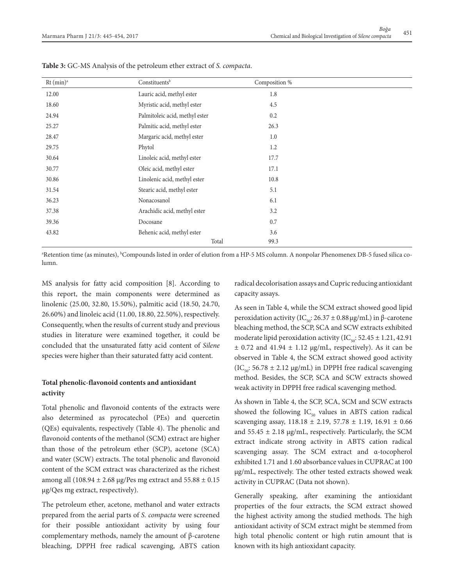| $Rt$ (min) <sup>a</sup> | Constituentsb                  | Composition % |  |
|-------------------------|--------------------------------|---------------|--|
| 12.00                   | Lauric acid, methyl ester      | 1.8           |  |
| 18.60                   | Myristic acid, methyl ester    | 4.5           |  |
| 24.94                   | Palmitoleic acid, methyl ester | 0.2           |  |
| 25.27                   | Palmitic acid, methyl ester    | 26.3          |  |
| 28.47                   | Margaric acid, methyl ester    | 1.0           |  |
| 29.75                   | Phytol                         | 1.2           |  |
| 30.64                   | Linoleic acid, methyl ester    | 17.7          |  |
| 30.77                   | Oleic acid, methyl ester       | 17.1          |  |
| 30.86                   | Linolenic acid, methyl ester   | 10.8          |  |
| 31.54                   | Stearic acid, methyl ester     | 5.1           |  |
| 36.23                   | Nonacosanol                    | 6.1           |  |
| 37.38                   | Arachidic acid, methyl ester   | 3.2           |  |
| 39.36                   | Docosane                       | 0.7           |  |
| 43.82                   | Behenic acid, methyl ester     | 3.6           |  |
|                         | Total                          | 99.3          |  |

**Table 3:** GC-MS Analysis of the petroleum ether extract of *S. compacta*.

<sup>a</sup>Retention time (as minutes), <sup>b</sup>Compounds listed in order of elution from a HP-5 MS column. A nonpolar Phenomenex DB-5 fused silica column.

MS analysis for fatty acid composition [8]. According to this report, the main components were determined as linolenic (25.00, 32.80, 15.50%), palmitic acid (18.50, 24.70, 26.60%) and linoleic acid (11.00, 18.80, 22.50%), respectively. Consequently, when the results of current study and previous studies in literature were examined together, it could be concluded that the unsaturated fatty acid content of *Silene* species were higher than their saturated fatty acid content.

# **Total phenolic-flavonoid contents and antioxidant activity**

Total phenolic and flavonoid contents of the extracts were also determined as pyrocatechol (PEs) and quercetin (QEs) equivalents, respectively (Table 4). The phenolic and flavonoid contents of the methanol (SCM) extract are higher than those of the petroleum ether (SCP), acetone (SCA) and water (SCW) extracts. The total phenolic and flavonoid content of the SCM extract was characterized as the richest among all  $(108.94 \pm 2.68 \text{ µg/Pes mg extract and } 55.88 \pm 0.15$ μg/Qes mg extract, respectively).

The petroleum ether, acetone, methanol and water extracts prepared from the aerial parts of *S. compacta* were screened for their possible antioxidant activity by using four complementary methods, namely the amount of β-carotene bleaching, DPPH free radical scavenging, ABTS cation radical decolorisation assays and Cupric reducing antioxidant capacity assays.

As seen in Table 4, while the SCM extract showed good lipid peroxidation activity (IC<sub>co</sub>: 26.37  $\pm$  0.88 μg/mL) in β-carotene bleaching method, the SCP, SCA and SCW extracts exhibited moderate lipid peroxidation activity  $(IC_{0.0}: 52.45 \pm 1.21, 42.91)$  $\pm$  0.72 and 41.94  $\pm$  1.12 µg/mL, respectively). As it can be observed in Table 4, the SCM extract showed good activity  $(IC_{\epsilon_{0}}: 56.78 \pm 2.12 \text{ µg/mL})$  in DPPH free radical scavenging method. Besides, the SCP, SCA and SCW extracts showed weak activity in DPPH free radical scavenging method.

As shown in Table 4, the SCP, SCA, SCM and SCW extracts showed the following  $IC_{50}$  values in ABTS cation radical scavenging assay, 118.18 ± 2.19, 57.78 ± 1.19, 16.91 ± 0.66 and  $55.45 \pm 2.18$  µg/mL, respectively. Particularly, the SCM extract indicate strong activity in ABTS cation radical scavenging assay. The SCM extract and α-tocopherol exhibited 1.71 and 1.60 absorbance values in CUPRAC at 100 µg/mL, respectively. The other tested extracts showed weak activity in CUPRAC (Data not shown).

Generally speaking, after examining the antioxidant properties of the four extracts, the SCM extract showed the highest activity among the studied methods. The high antioxidant activity of SCM extract might be stemmed from high total phenolic content or high rutin amount that is known with its high antioxidant capacity.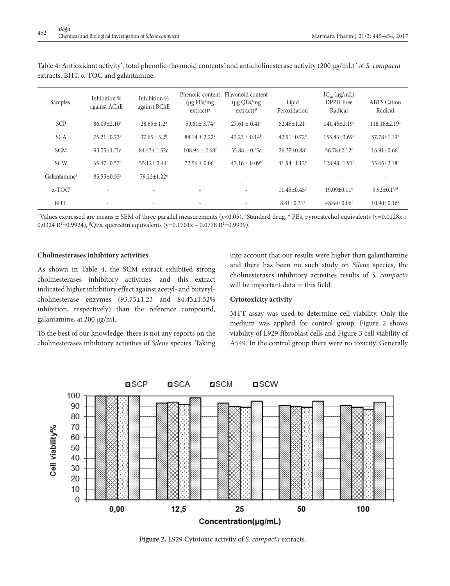| Samples                    | Inhibition %<br>against AChE  | Inhibition %<br>against BChE  | Phenolic content<br>$(\mu$ g PEs/mg<br>$extract)^{\alpha}$ | Flavonoid content<br>$(\mu g$ QEs/mg<br>extract) $\beta$ | Lipid<br>Peroxidation         | $IC_{50} (\mu g/mL)$<br>DPPH Free<br>Radical | <b>ABTS</b> Cation<br>Radical |
|----------------------------|-------------------------------|-------------------------------|------------------------------------------------------------|----------------------------------------------------------|-------------------------------|----------------------------------------------|-------------------------------|
| <b>SCP</b>                 | $86.03 \pm 2.10$ <sup>a</sup> | $28.65 \pm 1.2^a$             | $59.61 \pm 3.74$ <sup>a</sup>                              | $27.61 \pm 0.41$ <sup>a</sup>                            | $52.45 \pm 1.21$ <sup>a</sup> | $141.45 \pm 2.19^a$                          | $118.18 \pm 2.19^a$           |
| <b>SCA</b>                 | $75.21 \pm 0.73^b$            | $37.65 \pm 3.2^b$             | $84.14 \pm 2.22^b$                                         | $47.23 \pm 0.14^b$                                       | $42.91 \pm 0.72^b$            | $155.83 \pm 3.69^{\rm b}$                    | $57.78 \pm 1.19^b$            |
| <b>SCM</b>                 | $93.75 \pm 1.32$              | $84.43 \pm 1.52c$             | $108.94 \pm 2.68$ <sup>c</sup>                             | $55.88 \pm 0.15c$                                        | $26.37 \pm 0.88$ <sup>c</sup> | $56.78 \pm 2.12$ <sup>c</sup>                | $16.91 \pm 0.66$ <sup>c</sup> |
| <b>SCW</b>                 | $65.47 \pm 0.57$ <sup>d</sup> | $55.12 \pm 2.44$ <sup>d</sup> | $72.56 \pm 0.06^{\mathrm{d}}$                              | $47.16 \pm 0.09^{\rm b}$                                 | $41.94 \pm 1.12^b$            | $128.98 \pm 1.91$ <sup>d</sup>               | $55.45 \pm 2.18^b$            |
| Galantamine <sup>†</sup>   | $85.55 \pm 0.55^{\text{a}}$   | $79.22 \pm 1.22$ <sup>e</sup> |                                                            |                                                          |                               |                                              |                               |
| $\alpha$ -TOC <sup>+</sup> |                               |                               | ٠                                                          |                                                          | $11.45 \pm 0.45$ <sup>d</sup> | $19.09 \pm 0.11$ <sup>e</sup>                | $9.92 \pm 0.17$ <sup>d</sup>  |
| $BHT^{\dagger}$            | $\overline{\phantom{a}}$      | $\overline{\phantom{a}}$      | $\overline{\phantom{a}}$                                   |                                                          | $8.41 \pm 0.31$ <sup>e</sup>  | $48.64 \pm 0.06$ <sup>f</sup>                | $10.90 \pm 0.16$ <sup>e</sup> |

Table 4: Antioxidant activity\* , total phenolic-flavonoid contents\* and anticholinesterase activity (200 µg/mL) \* of *S. compacta* extracts, BHT, α-TOC and galantamine.

\* Values expressed are means ± SEM of three parallel measurements (*p*<0.05), † Standard drug, α PEs, pyrocatechol equivalents (y=0.0128x + 0.0324 R²=0.9924), ♭QEs, quercetin equivalents (y=0.1701x – 0.0778 R²=0.9939).

#### **Cholinesterases inhibitory activities**

As shown in Table 4, the SCM extract exhibited strong cholinesterases inhibitory activities, and this extract indicated higher inhibitory effect against acetyl- and butyrylcholinesterase enzymes (93.75±1.23 and 84.43±1.52% inhibition, respectively) than the reference compound, galantamine, at 200 µg/mL.

To the best of our knowledge, there is not any reports on the cholinesterases inhibitory activities of *Silene* species. Taking into account that our results were higher than galanthamine and there has been no such study on *Silene* species, the cholinesterases inhibitory activities results of *S. compacta* will be important data in this field.

## **Cytotoxicity activity**

MTT assay was used to determine cell viability. Only the medium was applied for control group. Figure 2 shows viability of L929 fibroblast cells and Figure 3 cell viability of A549. In the control group there were no toxicity. Generally



**Figure 2.** L929 Cytotoxic activity of *S. compacta* extracts.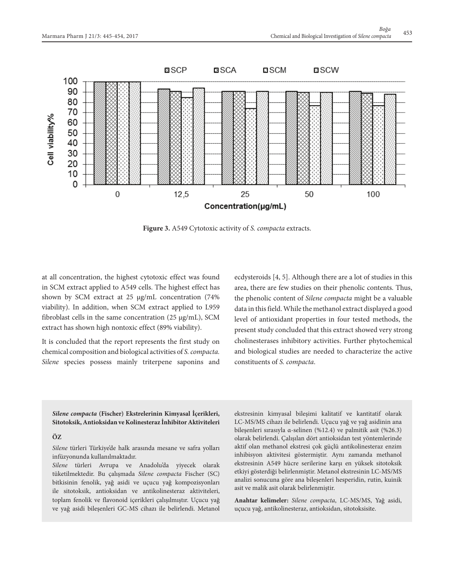

**Figure 3.** A549 Cytotoxic activity of *S. compacta* extracts.

at all concentration, the highest cytotoxic effect was found in SCM extract applied to A549 cells. The highest effect has shown by SCM extract at 25 µg/mL concentration (74% viability). In addition, when SCM extract applied to L959 fibroblast cells in the same concentration (25 µg/mL), SCM extract has shown high nontoxic effect (89% viability).

It is concluded that the report represents the first study on chemical composition and biological activities of *S. compacta. Silene* species possess mainly triterpene saponins and ecdysteroids [4, 5]. Although there are a lot of studies in this area, there are few studies on their phenolic contents. Thus, the phenolic content of *Silene compacta* might be a valuable data in this field. While the methanol extract displayed a good level of antioxidant properties in four tested methods, the present study concluded that this extract showed very strong cholinesterases inhibitory activities. Further phytochemical and biological studies are needed to characterize the active constituents of *S. compacta*.

*Silene compacta* **(Fischer) Ekstrelerinin Kimyasal İçerikleri, Sitotoksik, Antioksidan ve Kolinesteraz İnhibitor Aktiviteleri**

# **ÖZ**

*Silene* türleri Türkiye'de halk arasında mesane ve safra yolları infüzyonunda kullanılmaktadır.

*Silene* türleri Avrupa ve Anadolu'da yiyecek olarak tüketilmektedir. Bu çalışmada *Silene compacta* Fischer (SC) bitkisinin fenolik, yağ asidi ve uçucu yağ kompozisyonları ile sitotoksik, antioksidan ve antikolinesteraz aktiviteleri, toplam fenolik ve flavonoid içerikleri çalışılmıştır. Uçucu yağ ve yağ asidi bileşenleri GC-MS cihazı ile belirlendi. Metanol ekstresinin kimyasal bileşimi kalitatif ve kantitatif olarak LC-MS/MS cihazı ile belirlendi. Uçucu yağ ve yağ asidinin ana bileşenleri sırasıyla α-selinen (%12.4) ve palmitik asit (%26.3) olarak belirlendi. Çalışılan dört antioksidan test yöntemlerinde aktif olan methanol ekstresi çok güçlü antikolinesteraz enzim inhibisyon aktivitesi göstermiştir. Aynı zamanda methanol ekstresinin A549 hücre serilerine karşı en yüksek sitotoksik etkiyi gösterdiği belirlenmiştir. Metanol ekstresinin LC-MS/MS analizi sonucuna göre ana bileşenleri hesperidin, rutin, kuinik asit ve malik asit olarak belirlenmiştir.

**Anahtar kelimeler:** *Silene compacta*, LC-MS/MS, Yağ asidi, uçucu yağ, antikolinesteraz, antioksidan, sitotoksisite.